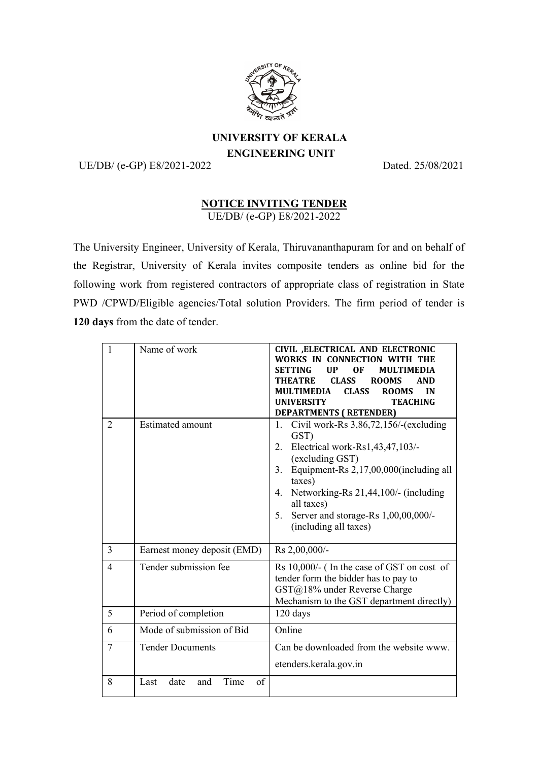

## **UNIVERSITY OF KERALA ENGINEERING UNIT**

UE/DB/ (e-GP) E8/2021-2022 Dated. 25/08/2021

## **NOTICE INVITING TENDER** UE/DB/ (e-GP) E8/2021-2022

The University Engineer, University of Kerala, Thiruvananthapuram for and on behalf of the Registrar, University of Kerala invites composite tenders as online bid for the following work from registered contractors of appropriate class of registration in State PWD /CPWD/Eligible agencies/Total solution Providers. The firm period of tender is **120 days** from the date of tender.

| $\mathbf{1}$   | Name of work                      | CIVIL , ELECTRICAL AND ELECTRONIC<br>WORKS IN CONNECTION WITH THE<br><b>SETTING</b><br><b>UP</b><br><b>OF</b><br><b>MULTIMEDIA</b><br><b>CLASS</b><br><b>THEATRE</b><br><b>ROOMS</b><br><b>AND</b><br><b>MULTIMEDIA</b><br><b>CLASS</b><br><b>ROOMS</b><br>IN<br><b>UNIVERSITY</b><br><b>TEACHING</b><br><b>DEPARTMENTS (RETENDER)</b> |
|----------------|-----------------------------------|----------------------------------------------------------------------------------------------------------------------------------------------------------------------------------------------------------------------------------------------------------------------------------------------------------------------------------------|
| $\overline{2}$ | <b>Estimated amount</b>           | Civil work-Rs $3,86,72,156$ /-(excluding<br>1.<br>GST)<br>Electrical work-Rs1,43,47,103/-<br>2.<br>(excluding GST)<br>Equipment-Rs 2,17,00,000(including all<br>3 <sub>1</sub><br>taxes)<br>4. Networking-Rs 21,44,100/- (including<br>all taxes)<br>Server and storage-Rs 1,00,00,000/-<br>5.<br>(including all taxes)                |
| $\overline{3}$ | Earnest money deposit (EMD)       | Rs 2,00,000/-                                                                                                                                                                                                                                                                                                                          |
| $\overline{4}$ | Tender submission fee             | Rs 10,000/- (In the case of GST on cost of<br>tender form the bidder has to pay to<br>GST@18% under Reverse Charge<br>Mechanism to the GST department directly)                                                                                                                                                                        |
| 5              | Period of completion              | 120 days                                                                                                                                                                                                                                                                                                                               |
| 6              | Mode of submission of Bid         | Online                                                                                                                                                                                                                                                                                                                                 |
| $\tau$         | <b>Tender Documents</b>           | Can be downloaded from the website www.<br>etenders.kerala.gov.in                                                                                                                                                                                                                                                                      |
| 8              | Time<br>of<br>Last<br>date<br>and |                                                                                                                                                                                                                                                                                                                                        |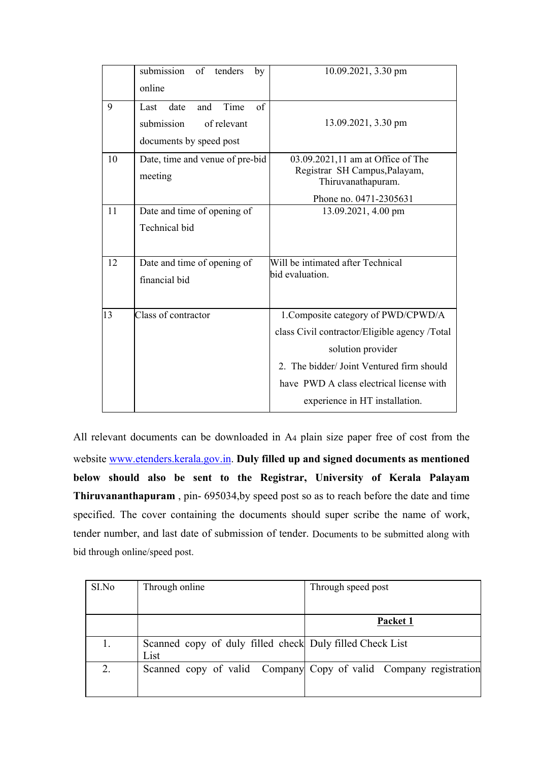|            | submission<br>$of$ <sup>-</sup><br>tenders<br>by<br>online | 10.09.2021, 3.30 pm                           |
|------------|------------------------------------------------------------|-----------------------------------------------|
|            |                                                            |                                               |
| 9          | of<br>Time<br>date<br>and<br>Last                          |                                               |
|            | submission<br>of relevant                                  | 13.09.2021, 3.30 pm                           |
|            |                                                            |                                               |
|            | documents by speed post                                    |                                               |
| 10         | Date, time and venue of pre-bid                            | 03.09.2021,11 am at Office of The             |
|            | meeting                                                    | Registrar SH Campus, Palayam,                 |
|            |                                                            | Thiruvanathapuram.                            |
|            |                                                            | Phone no. 0471-2305631                        |
| 11         | Date and time of opening of                                | 13.09.2021, 4.00 pm                           |
|            | Technical bid                                              |                                               |
|            |                                                            |                                               |
|            |                                                            |                                               |
| 12         | Date and time of opening of                                | Will be intimated after Technical             |
|            | financial bid                                              | bid evaluation.                               |
|            |                                                            |                                               |
| $\vert$ 13 | Class of contractor                                        | 1. Composite category of PWD/CPWD/A           |
|            |                                                            |                                               |
|            |                                                            | class Civil contractor/Eligible agency /Total |
|            |                                                            | solution provider                             |
|            |                                                            | 2. The bidder/Joint Ventured firm should      |
|            |                                                            | have PWD A class electrical license with      |
|            |                                                            | experience in HT installation.                |
|            |                                                            |                                               |

All relevant documents can be downloaded in A4 plain size paper free of cost from the website www.etenders.kerala.gov.in. **Duly filled up and signed documents as mentioned below should also be sent to the Registrar, University of Kerala Palayam Thiruvananthapuram** , pin- 695034,by speed post so as to reach before the date and time specified. The cover containing the documents should super scribe the name of work, tender number, and last date of submission of tender. Documents to be submitted along with bid through online/speed post.

| SI.No | Through online                                                   | Through speed post                                               |
|-------|------------------------------------------------------------------|------------------------------------------------------------------|
|       |                                                                  |                                                                  |
|       |                                                                  | Packet 1                                                         |
|       | Scanned copy of duly filled check Duly filled Check List<br>List |                                                                  |
| 2.    |                                                                  | Scanned copy of valid Company Copy of valid Company registration |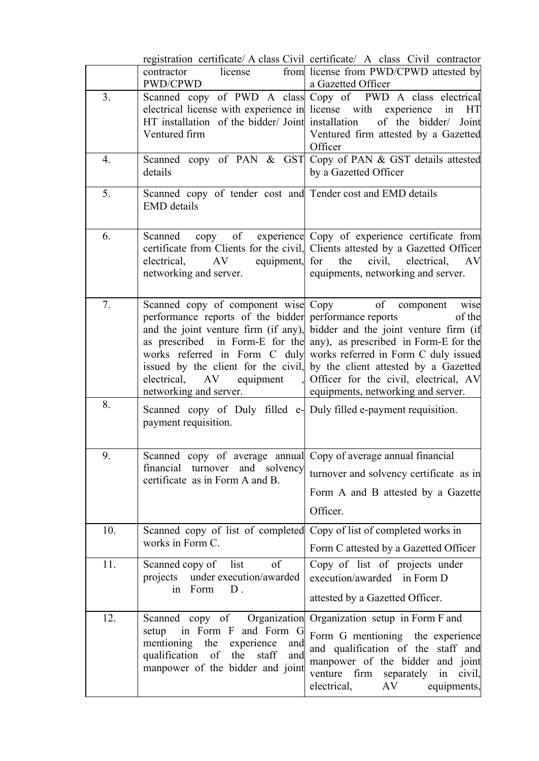|                |                                                                                                                                                                                                                | registration certificate/ A class Civil certificate/ A class Civil contractor                                                                                                                                                                                                                                                                                                                                             |
|----------------|----------------------------------------------------------------------------------------------------------------------------------------------------------------------------------------------------------------|---------------------------------------------------------------------------------------------------------------------------------------------------------------------------------------------------------------------------------------------------------------------------------------------------------------------------------------------------------------------------------------------------------------------------|
|                | license<br>contractor<br>PWD/CPWD                                                                                                                                                                              | from license from PWD/CPWD attested by<br>a Gazetted Officer                                                                                                                                                                                                                                                                                                                                                              |
| 3 <sub>1</sub> | electrical license with experience in license with experience in<br>HT installation of the bidder/ Joint installation<br>Ventured firm                                                                         | Scanned copy of PWD A class Copy of PWD A class electrical<br>- HT<br>of the bidder/ Joint<br>Ventured firm attested by a Gazetted<br>Officer                                                                                                                                                                                                                                                                             |
| 4.             | details                                                                                                                                                                                                        | Scanned copy of PAN & GST Copy of PAN & GST details attested<br>by a Gazetted Officer                                                                                                                                                                                                                                                                                                                                     |
| 5.             | Scanned copy of tender cost and Tender cost and EMD details<br><b>EMD</b> details                                                                                                                              |                                                                                                                                                                                                                                                                                                                                                                                                                           |
| 6.             | Scanned<br>equipment, for<br>electrical,<br>AV<br>networking and server.                                                                                                                                       | copy of experience Copy of experience certificate from<br>certificate from Clients for the civil, Clients attested by a Gazetted Officer<br>the<br>civil,<br>electrical,<br><b>AV</b><br>equipments, networking and server.                                                                                                                                                                                               |
| 7.             | Scanned copy of component wise Copy<br>performance reports of the bidder performance reports<br>electrical,<br>equipment,<br>AV<br>networking and server.                                                      | of<br>component<br>wise<br>of the<br>and the joint venture firm (if any), bidder and the joint venture firm (if<br>as prescribed in Form-E for the any), as prescribed in Form-E for the<br>works referred in Form C duly works referred in Form C duly issued<br>issued by the client for the civil, by the client attested by a Gazetted<br>Officer for the civil, electrical, AV<br>equipments, networking and server. |
| 8.             | Scanned copy of Duly filled e- Duly filled e-payment requisition.<br>payment requisition.                                                                                                                      |                                                                                                                                                                                                                                                                                                                                                                                                                           |
| 9.             | Scanned copy of average annual Copy of average annual financial<br>financial turnover and solvency<br>certificate as in Form A and B.                                                                          | turnover and solvency certificate as in<br>Form A and B attested by a Gazette<br>Officer.                                                                                                                                                                                                                                                                                                                                 |
| 10.            | Scanned copy of list of completed Copy of list of completed works in<br>works in Form C.                                                                                                                       | Form C attested by a Gazetted Officer                                                                                                                                                                                                                                                                                                                                                                                     |
| 11.            | Scanned copy of<br>list<br>of<br>projects under execution/awarded<br>in Form<br>$D$ .                                                                                                                          | Copy of list of projects under<br>execution/awarded in Form D<br>attested by a Gazetted Officer.                                                                                                                                                                                                                                                                                                                          |
| 12.            | Scanned copy of Organization Organization setup in Form F and<br>in Form F and Form G<br>setup<br>mentioning the experience<br>and<br>qualification of the<br>staff<br>and<br>manpower of the bidder and joint | Form G mentioning the experience<br>and qualification of the staff and<br>manpower of the bidder and joint<br>venture firm separately in civil,<br>electrical,<br>AV<br>equipments,                                                                                                                                                                                                                                       |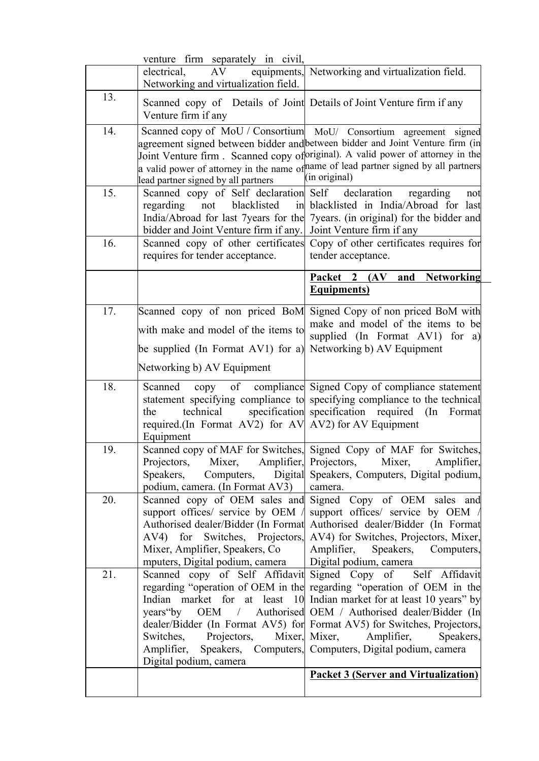|     | venture firm separately in civil,                                                                                                                                                                                    |                                                                                                                                                                                                                                                                                                                                                                                                          |
|-----|----------------------------------------------------------------------------------------------------------------------------------------------------------------------------------------------------------------------|----------------------------------------------------------------------------------------------------------------------------------------------------------------------------------------------------------------------------------------------------------------------------------------------------------------------------------------------------------------------------------------------------------|
|     | electrical,<br>AV<br>Networking and virtualization field.                                                                                                                                                            | equipments, Networking and virtualization field.                                                                                                                                                                                                                                                                                                                                                         |
| 13. | Scanned copy of Details of Joint Details of Joint Venture firm if any<br>Venture firm if any                                                                                                                         |                                                                                                                                                                                                                                                                                                                                                                                                          |
| 14. | lead partner signed by all partners                                                                                                                                                                                  | Scanned copy of MoU / Consortium MoU / Consortium agreement signed<br>agreement signed between bidder and between bidder and Joint Venture firm (in<br>Joint Venture firm. Scanned copy of priginal). A valid power of attorney in the<br>a valid power of attorney in the name of hame of lead partner signed by all partners<br>(in original)                                                          |
| 15. | Scanned copy of Self declaration Self declaration<br>blacklisted<br>regarding<br>not<br>in<br>India/Abroad for last 7years for the<br>bidder and Joint Venture firm if any.                                          | regarding<br>not<br>blacklisted in India/Abroad for last<br>7 years. (in original) for the bidder and<br>Joint Venture firm if any                                                                                                                                                                                                                                                                       |
| 16. | requires for tender acceptance.                                                                                                                                                                                      | Scanned copy of other certificates Copy of other certificates requires for<br>tender acceptance.                                                                                                                                                                                                                                                                                                         |
|     |                                                                                                                                                                                                                      | <b>Networking</b><br>Packet 2 (AV)<br>and<br><b>Equipments</b> )                                                                                                                                                                                                                                                                                                                                         |
| 17. | Scanned copy of non priced BoM<br>with make and model of the items to<br>be supplied (In Format AV1) for a)                                                                                                          | Signed Copy of non priced BoM with<br>make and model of the items to be<br>supplied (In Format AV1) for a)<br>Networking b) AV Equipment                                                                                                                                                                                                                                                                 |
|     | Networking b) AV Equipment                                                                                                                                                                                           |                                                                                                                                                                                                                                                                                                                                                                                                          |
| 18. | Scanned<br>copy<br>technical<br>the<br>required. (In Format AV2) for AV AV2) for AV Equipment<br>Equipment                                                                                                           | of compliance Signed Copy of compliance statement<br>statement specifying compliance to specifying compliance to the technical<br>specification specification required (In Format                                                                                                                                                                                                                        |
| 19. | Projectors,<br>Mixer,<br>Speakers,<br>Computers,<br>podium, camera. (In Format AV3)                                                                                                                                  | Scanned copy of MAF for Switches, Signed Copy of MAF for Switches,<br>Amplifier, Projectors,<br>Amplifier,<br>Mixer,<br>Digital Speakers, Computers, Digital podium,<br>camera.                                                                                                                                                                                                                          |
| 20. | Scanned copy of OEM sales and<br>support offices/ service by OEM /<br>Authorised dealer/Bidder (In Format<br>for Switches, Projectors,<br>AV4)<br>Mixer, Amplifier, Speakers, Co.<br>mputers, Digital podium, camera | Signed Copy of OEM sales and<br>support offices/ service by OEM /<br>Authorised dealer/Bidder (In Format<br>AV4) for Switches, Projectors, Mixer,<br>Amplifier,<br>Speakers,<br>Computers,<br>Digital podium, camera                                                                                                                                                                                     |
| 21. | Scanned copy of Self Affidavit Signed Copy of<br>years by<br>Switches,<br>Projectors,<br>Amplifier,<br>Digital podium, camera                                                                                        | Self Affidavit<br>regarding "operation of OEM in the regarding "operation of OEM in the<br>Indian market for at least 10 Indian market for at least 10 years" by<br>OEM / Authorised OEM / Authorised dealer/Bidder (In<br>dealer/Bidder (In Format AV5) for Format AV5) for Switches, Projectors,<br>Mixer, Mixer,<br>Amplifier,<br>Speakers,<br>Speakers, Computers, Computers, Digital podium, camera |
|     |                                                                                                                                                                                                                      | <b>Packet 3 (Server and Virtualization)</b>                                                                                                                                                                                                                                                                                                                                                              |